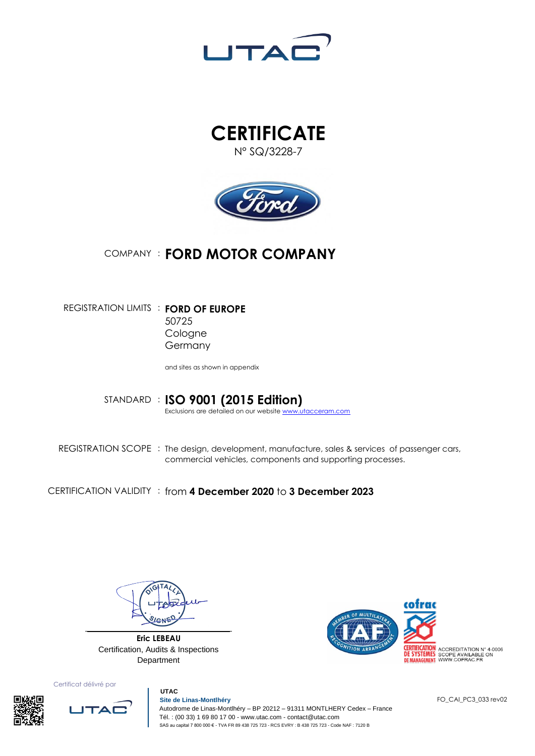





## COMPANY : **FORD MOTOR COMPANY**

REGISTRATION LIMITS : **FORD OF EUROPE** 50725 Cologne Germany

and sites as shown in appendix

STANDARD : **ISO 9001 (2015 Edition)** Exclusions are detailed on our websit[e www.utacceram.com](http://www.utacceram.com/)

REGISTRATION SCOPE : The design, development, manufacture, sales & services of passenger cars, commercial vehicles, components and supporting processes.

CERTIFICATION VALIDITY : from **4 December 2020** to **3 December 2023**

**Eric LEBEAU** Certification, Audits & Inspections Department



Certificat délivré par





 **UTAC Site de Linas-Montlhéry** Autodrome de Linas-Montlhéry – BP 20212 – 91311 MONTLHERY Cedex – France Tél. : (00 33) 1 69 80 17 00 - www.utac.com - contact@utac.com SAS au capital 7 800 000 € - TVA FR 89 438 725 723 - RCS EVRY : B 438 725 723 - Code NAF : 7120 B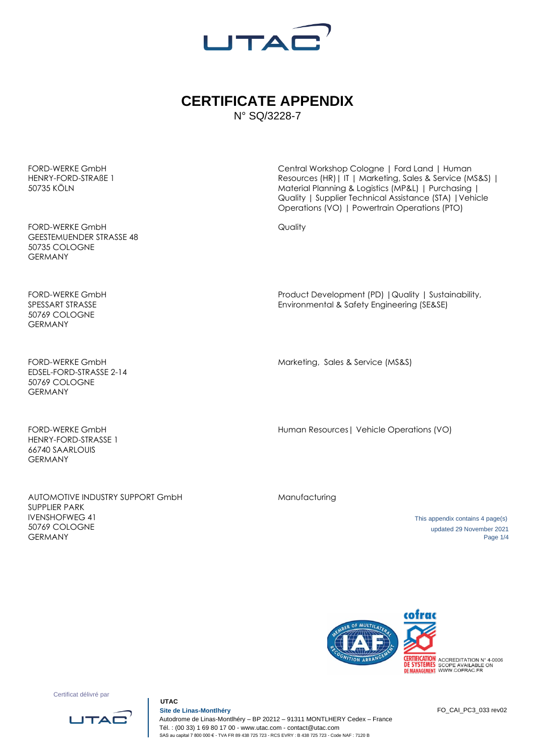

## **CERTIFICATE APPENDIX** N° SQ/3228-7

FORD-WERKE GmbH HENRY-FORD-STRAßE 1 50735 KÖLN

FORD-WERKE GmbH GEESTEMUENDER STRASSE 48 50735 COLOGNE GERMANY

FORD-WERKE GmbH SPESSART STRASSE 50769 COLOGNE GERMANY

FORD-WERKE GmbH EDSEL-FORD-STRASSE 2-14 50769 COLOGNE GERMANY

FORD-WERKE GmbH HENRY-FORD-STRASSE 1 66740 SAARLOUIS GERMANY

AUTOMOTIVE INDUSTRY SUPPORT GmbH SUPPLIER PARK IVENSHOFWEG 41 50769 COLOGNE GERMANY

Central Workshop Cologne | Ford Land | Human Resources (HR)| IT | Marketing, Sales & Service (MS&S) | Material Planning & Logistics (MP&L) | Purchasing | Quality | Supplier Technical Assistance (STA) |Vehicle Operations (VO) | Powertrain Operations (PTO)

**Quality** 

Product Development (PD) |Quality | Sustainability, Environmental & Safety Engineering (SE&SE)

Marketing, Sales & Service (MS&S)

Human Resources| Vehicle Operations (VO)

Manufacturing

 This appendix contains 4 page(s) updated 29 November 2021 Page 1/4



Certificat délivré par



 **UTAC**

 **Site de Linas-Montlhéry** Autodrome de Linas-Montlhéry – BP 20212 – 91311 MONTLHERY Cedex – France Tél. : (00 33) 1 69 80 17 00 - www.utac.com - contact@utac.com SAS au capital 7 800 000 € - TVA FR 89 438 725 723 - RCS EVRY : B 438 725 723 - Code NAF : 7120 B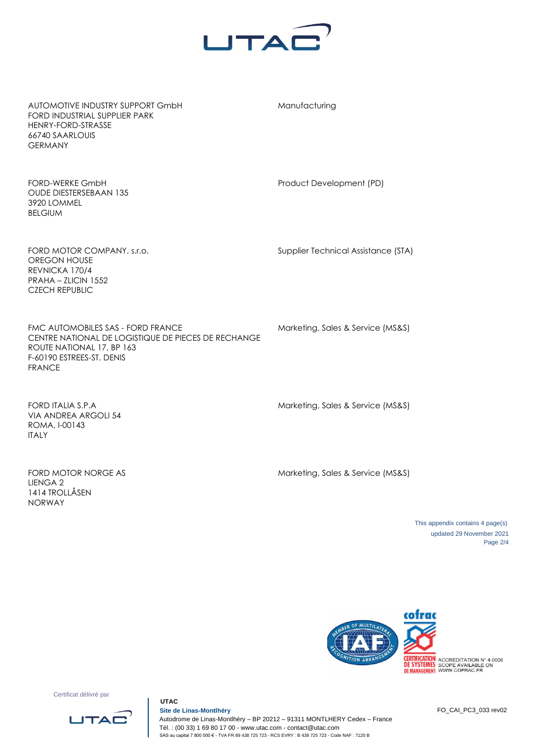

Manufacturing

AUTOMOTIVE INDUSTRY SUPPORT GmbH FORD INDUSTRIAL SUPPLIER PARK HENRY-FORD-STRASSE 66740 SAARLOUIS GERMANY

FORD-WERKE GmbH OUDE DIESTERSEBAAN 135 3920 LOMMEL BELGIUM

FORD MOTOR COMPANY, s.r.o. OREGON HOUSE REVNICKA 170/4 PRAHA – ZLICIN 1552 CZECH REPUBLIC

FMC AUTOMOBILES SAS - FORD FRANCE CENTRE NATIONAL DE LOGISTIQUE DE PIECES DE RECHANGE ROUTE NATIONAL 17, BP 163 F-60190 ESTREES-ST. DENIS FRANCE

Supplier Technical Assistance (STA)

Product Development (PD)

Marketing, Sales & Service (MS&S)

FORD ITALIA S.P.A VIA ANDREA ARGOLI 54 ROMA, I-00143 ITALY

Marketing, Sales & Service (MS&S)

FORD MOTOR NORGE AS LIENGA 2 1414 TROLLÅSEN NORWAY

Marketing, Sales & Service (MS&S)

 This appendix contains 4 page(s) updated 29 November 2021 Page 2/4



Certificat délivré par



 **UTAC**

 **Site de Linas-Montlhéry** Autodrome de Linas-Montlhéry – BP 20212 – 91311 MONTLHERY Cedex – France Tél. : (00 33) 1 69 80 17 00 - www.utac.com - contact@utac.com SAS au capital 7 800 000 € - TVA FR 89 438 725 723 - RCS EVRY : B 438 725 723 - Code NAF : 7120 B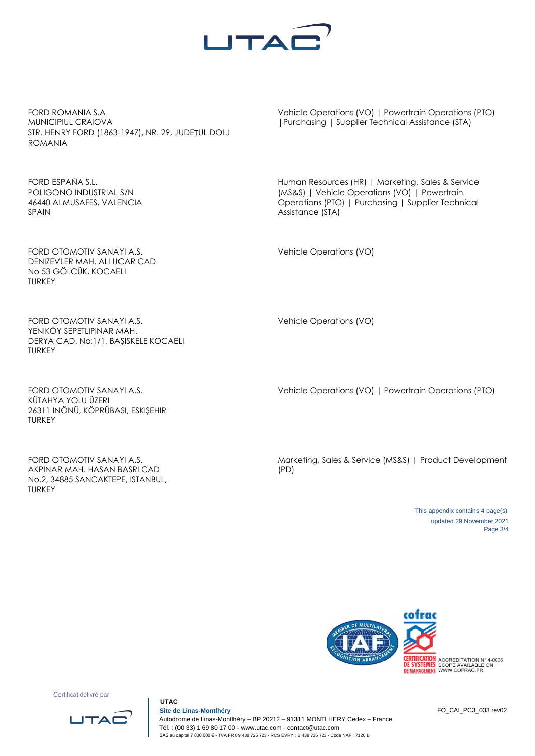

FORD ROMANIA S.A MUNICIPIUL CRAIOVA STR. HENRY FORD (1863-1947), NR. 29, JUDEȚUL DOLJ ROMANIA

FORD ESPAÑA S.L. POLIGONO INDUSTRIAL S/N 46440 ALMUSAFES, VALENCIA SPAIN

FORD OTOMOTIV SANAYI A.S. DENIZEVLER MAH. ALI UCAR CAD No 53 GÖLCÜK, KOCAELI TURKEY

FORD OTOMOTIV SANAYI A.S. YENIKÖY SEPETLIPINAR MAH. DERYA CAD. No:1/1, BAŞISKELE KOCAELI TURKEY

FORD OTOMOTIV SANAYI A.S. KÜTAHYA YOLU ÜZERI 26311 INÖNÜ, KÖPRÜBASI, ESKIŞEHIR TURKEY

FORD OTOMOTIV SANAYI A.S. AKPINAR MAH. HASAN BASRI CAD No.2, 34885 SANCAKTEPE, ISTANBUL, TURKEY

Vehicle Operations (VO) | Powertrain Operations (PTO) |Purchasing | Supplier Technical Assistance (STA)

Human Resources (HR) | Marketing, Sales & Service (MS&S) | Vehicle Operations (VO) | Powertrain Operations (PTO) | Purchasing | Supplier Technical Assistance (STA)

Vehicle Operations (VO)

Vehicle Operations (VO)

Vehicle Operations (VO) | Powertrain Operations (PTO)

Marketing, Sales & Service (MS&S) | Product Development (PD)

> This appendix contains 4 page(s) updated 29 November 2021 Page 3/4



Certificat délivré par



 **UTAC**

 **Site de Linas-Montlhéry** Autodrome de Linas-Montlhéry – BP 20212 – 91311 MONTLHERY Cedex – France Tél. : (00 33) 1 69 80 17 00 - www.utac.com - contact@utac.com SAS au capital 7 800 000 € - TVA FR 89 438 725 723 - RCS EVRY : B 438 725 723 - Code NAF : 7120 B